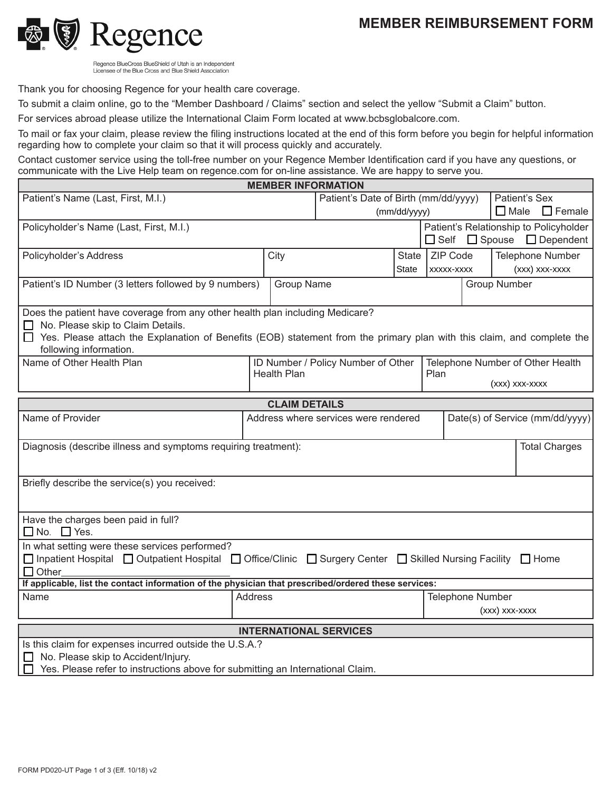## **MEMBER REIMBURSEMENT FORM**



Regence BlueCross BlueShield of Utah is an Independent Licensee of the Blue Cross and Blue Shield Association

Thank you for choosing Regence for your health care coverage.

To submit a claim online, go to the "Member Dashboard / Claims" section and select the yellow "Submit a Claim" button.

For services abroad please utilize the International Claim Form located at www.bcbsglobalcore.com.

To mail or fax your claim, please review the filing instructions located at the end of this form before you begin for helpful information regarding how to complete your claim so that it will process quickly and accurately.

Contact customer service using the toll-free number on your Regence Member Identification card if you have any questions, or communicate with the Live Help team on regence.com for on-line assistance. We are happy to serve you.

|                                                                                                                                                  |                                                                        |            | <b>MEMBER INFORMATION</b>            |                         |                |  |                |                                        |  |
|--------------------------------------------------------------------------------------------------------------------------------------------------|------------------------------------------------------------------------|------------|--------------------------------------|-------------------------|----------------|--|----------------|----------------------------------------|--|
| Patient's Name (Last, First, M.I.)                                                                                                               |                                                                        |            | Patient's Date of Birth (mm/dd/yyyy) |                         |                |  | Patient's Sex  |                                        |  |
|                                                                                                                                                  |                                                                        |            |                                      | (mm/dd/yyyy)            |                |  |                | $\Box$ Female<br>$\Box$ Male           |  |
| Policyholder's Name (Last, First, M.I.)                                                                                                          |                                                                        |            |                                      |                         |                |  |                | Patient's Relationship to Policyholder |  |
|                                                                                                                                                  |                                                                        |            |                                      |                         | $\square$ Self |  |                | $\Box$ Spouse $\Box$ Dependent         |  |
| Policyholder's Address                                                                                                                           | City                                                                   |            | State                                |                         | ZIP Code       |  |                | <b>Telephone Number</b>                |  |
|                                                                                                                                                  |                                                                        |            |                                      | State                   | XXXXX-XXXX     |  |                | (xxx) xxx-xxxx                         |  |
| Patient's ID Number (3 letters followed by 9 numbers)                                                                                            |                                                                        | Group Name |                                      | <b>Group Number</b>     |                |  |                |                                        |  |
|                                                                                                                                                  |                                                                        |            |                                      |                         |                |  |                |                                        |  |
| Does the patient have coverage from any other health plan including Medicare?                                                                    |                                                                        |            |                                      |                         |                |  |                |                                        |  |
| No. Please skip to Claim Details.                                                                                                                |                                                                        |            |                                      |                         |                |  |                |                                        |  |
| Yes. Please attach the Explanation of Benefits (EOB) statement from the primary plan with this claim, and complete the<br>following information. |                                                                        |            |                                      |                         |                |  |                |                                        |  |
| Name of Other Health Plan                                                                                                                        | ID Number / Policy Number of Other<br>Telephone Number of Other Health |            |                                      |                         |                |  |                |                                        |  |
|                                                                                                                                                  | <b>Health Plan</b><br>Plan                                             |            |                                      |                         |                |  |                |                                        |  |
|                                                                                                                                                  |                                                                        |            |                                      |                         |                |  | (xxx) xxx-xxxx |                                        |  |
| <b>CLAIM DETAILS</b>                                                                                                                             |                                                                        |            |                                      |                         |                |  |                |                                        |  |
| Name of Provider<br>Address where services were rendered<br>Date(s) of Service (mm/dd/yyyy)                                                      |                                                                        |            |                                      |                         |                |  |                |                                        |  |
|                                                                                                                                                  |                                                                        |            |                                      |                         |                |  |                |                                        |  |
| Diagnosis (describe illness and symptoms requiring treatment):                                                                                   |                                                                        |            |                                      |                         |                |  |                | <b>Total Charges</b>                   |  |
|                                                                                                                                                  |                                                                        |            |                                      |                         |                |  |                |                                        |  |
| Briefly describe the service(s) you received:                                                                                                    |                                                                        |            |                                      |                         |                |  |                |                                        |  |
|                                                                                                                                                  |                                                                        |            |                                      |                         |                |  |                |                                        |  |
|                                                                                                                                                  |                                                                        |            |                                      |                         |                |  |                |                                        |  |
| Have the charges been paid in full?<br>$\Box$ No. $\Box$ Yes.                                                                                    |                                                                        |            |                                      |                         |                |  |                |                                        |  |
| In what setting were these services performed?                                                                                                   |                                                                        |            |                                      |                         |                |  |                |                                        |  |
| □ Inpatient Hospital □ Outpatient Hospital □ Office/Clinic □ Surgery Center □ Skilled Nursing Facility □ Home                                    |                                                                        |            |                                      |                         |                |  |                |                                        |  |
| $\Box$ Other                                                                                                                                     |                                                                        |            |                                      |                         |                |  |                |                                        |  |
| If applicable, list the contact information of the physician that prescribed/ordered these services:                                             |                                                                        |            |                                      |                         |                |  |                |                                        |  |
| <b>Address</b><br>Name                                                                                                                           |                                                                        |            |                                      | <b>Telephone Number</b> |                |  |                |                                        |  |
| (xxx) xxx-xxxx                                                                                                                                   |                                                                        |            |                                      |                         |                |  |                |                                        |  |
| <b>INTERNATIONAL SERVICES</b>                                                                                                                    |                                                                        |            |                                      |                         |                |  |                |                                        |  |
| Is this claim for expenses incurred outside the U.S.A.?                                                                                          |                                                                        |            |                                      |                         |                |  |                |                                        |  |
| No. Please skip to Accident/Injury.                                                                                                              |                                                                        |            |                                      |                         |                |  |                |                                        |  |
| Yes. Please refer to instructions above for submitting an International Claim.<br>$\Box$                                                         |                                                                        |            |                                      |                         |                |  |                |                                        |  |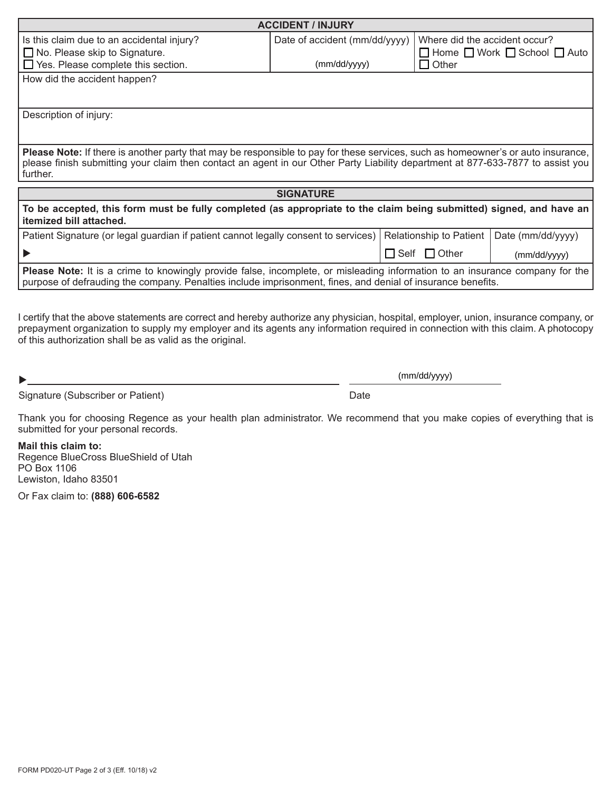| <b>ACCIDENT / INJURY</b>                                                                                                                                                                                                                           |                               |              |                               |                                                   |  |  |  |  |  |  |
|----------------------------------------------------------------------------------------------------------------------------------------------------------------------------------------------------------------------------------------------------|-------------------------------|--------------|-------------------------------|---------------------------------------------------|--|--|--|--|--|--|
| Is this claim due to an accidental injury?                                                                                                                                                                                                         | Date of accident (mm/dd/yyyy) |              | Where did the accident occur? |                                                   |  |  |  |  |  |  |
| $\Box$ No. Please skip to Signature.                                                                                                                                                                                                               |                               |              |                               | $\Box$ Home $\Box$ Work $\Box$ School $\Box$ Auto |  |  |  |  |  |  |
| $\Box$ Yes. Please complete this section.                                                                                                                                                                                                          | (mm/dd/yyyy)                  | $\Box$ Other |                               |                                                   |  |  |  |  |  |  |
| How did the accident happen?                                                                                                                                                                                                                       |                               |              |                               |                                                   |  |  |  |  |  |  |
|                                                                                                                                                                                                                                                    |                               |              |                               |                                                   |  |  |  |  |  |  |
|                                                                                                                                                                                                                                                    |                               |              |                               |                                                   |  |  |  |  |  |  |
| Description of injury:                                                                                                                                                                                                                             |                               |              |                               |                                                   |  |  |  |  |  |  |
|                                                                                                                                                                                                                                                    |                               |              |                               |                                                   |  |  |  |  |  |  |
| Please Note: If there is another party that may be responsible to pay for these services, such as homeowner's or auto insurance,                                                                                                                   |                               |              |                               |                                                   |  |  |  |  |  |  |
| please finish submitting your claim then contact an agent in our Other Party Liability department at 877-633-7877 to assist you                                                                                                                    |                               |              |                               |                                                   |  |  |  |  |  |  |
| further.                                                                                                                                                                                                                                           |                               |              |                               |                                                   |  |  |  |  |  |  |
|                                                                                                                                                                                                                                                    | <b>SIGNATURE</b>              |              |                               |                                                   |  |  |  |  |  |  |
|                                                                                                                                                                                                                                                    |                               |              |                               |                                                   |  |  |  |  |  |  |
| To be accepted, this form must be fully completed (as appropriate to the claim being submitted) signed, and have an<br>itemized bill attached.                                                                                                     |                               |              |                               |                                                   |  |  |  |  |  |  |
| Patient Signature (or legal guardian if patient cannot legally consent to services)                                                                                                                                                                |                               |              | Relationship to Patient       | Date (mm/dd/yyyy)                                 |  |  |  |  |  |  |
|                                                                                                                                                                                                                                                    |                               |              | $\Box$ Self $\Box$ Other      | (mm/dd/yyyy)                                      |  |  |  |  |  |  |
| <b>Please Note:</b> It is a crime to knowingly provide false, incomplete, or misleading information to an insurance company for the<br>purpose of defrauding the company. Penalties include imprisonment, fines, and denial of insurance benefits. |                               |              |                               |                                                   |  |  |  |  |  |  |

I certify that the above statements are correct and hereby authorize any physician, hospital, employer, union, insurance company, or prepayment organization to supply my employer and its agents any information required in connection with this claim. A photocopy of this authorization shall be as valid as the original.

 $\blacktriangleright$ 

(mm/dd/yyyy)

Signature (Subscriber or Patient) and Date Date

Thank you for choosing Regence as your health plan administrator. We recommend that you make copies of everything that is submitted for your personal records.

**Mail this claim to:** Regence BlueCross BlueShield of Utah PO Box 1106 Lewiston, Idaho 83501

Or Fax claim to: **(888) 606-6582**